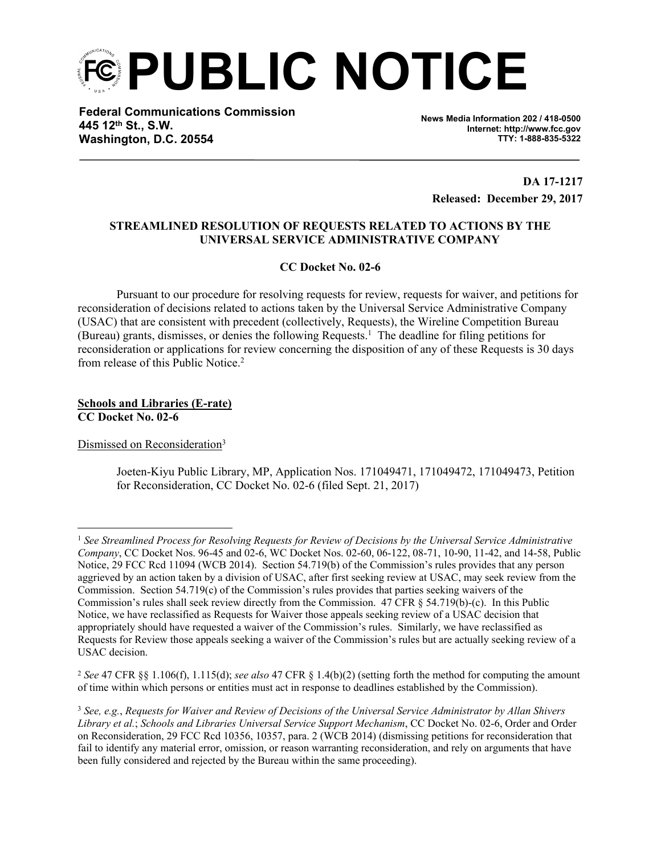**PUBLIC NOTICE**

**Federal Communications Commission 445 12th St., S.W. Washington, D.C. 20554**

**News Media Information 202 / 418-0500 Internet: http://www.fcc.gov TTY: 1-888-835-5322**

**DA 17-1217 Released: December 29, 2017**

## **STREAMLINED RESOLUTION OF REQUESTS RELATED TO ACTIONS BY THE UNIVERSAL SERVICE ADMINISTRATIVE COMPANY**

**CC Docket No. 02-6**

Pursuant to our procedure for resolving requests for review, requests for waiver, and petitions for reconsideration of decisions related to actions taken by the Universal Service Administrative Company (USAC) that are consistent with precedent (collectively, Requests), the Wireline Competition Bureau (Bureau) grants, dismisses, or denies the following Requests.<sup>1</sup> The deadline for filing petitions for reconsideration or applications for review concerning the disposition of any of these Requests is 30 days from release of this Public Notice.<sup>2</sup>

**Schools and Libraries (E-rate) CC Docket No. 02-6**

Dismissed on Reconsideration<sup>3</sup>

Joeten-Kiyu Public Library, MP, Application Nos. 171049471, 171049472, 171049473, Petition for Reconsideration, CC Docket No. 02-6 (filed Sept. 21, 2017)

<sup>1</sup> *See Streamlined Process for Resolving Requests for Review of Decisions by the Universal Service Administrative Company*, CC Docket Nos. 96-45 and 02-6, WC Docket Nos. 02-60, 06-122, 08-71, 10-90, 11-42, and 14-58, Public Notice, 29 FCC Rcd 11094 (WCB 2014). Section 54.719(b) of the Commission's rules provides that any person aggrieved by an action taken by a division of USAC, after first seeking review at USAC, may seek review from the Commission. Section 54.719(c) of the Commission's rules provides that parties seeking waivers of the Commission's rules shall seek review directly from the Commission. 47 CFR § 54.719(b)-(c). In this Public Notice, we have reclassified as Requests for Waiver those appeals seeking review of a USAC decision that appropriately should have requested a waiver of the Commission's rules. Similarly, we have reclassified as Requests for Review those appeals seeking a waiver of the Commission's rules but are actually seeking review of a USAC decision.

<sup>2</sup> *See* 47 CFR §§ 1.106(f), 1.115(d); *see also* 47 CFR § 1.4(b)(2) (setting forth the method for computing the amount of time within which persons or entities must act in response to deadlines established by the Commission).

<sup>3</sup> *See, e.g.*, *Requests for Waiver and Review of Decisions of the Universal Service Administrator by Allan Shivers Library et al.*; *Schools and Libraries Universal Service Support Mechanism*, CC Docket No. 02-6, Order and Order on Reconsideration, 29 FCC Rcd 10356, 10357, para. 2 (WCB 2014) (dismissing petitions for reconsideration that fail to identify any material error, omission, or reason warranting reconsideration, and rely on arguments that have been fully considered and rejected by the Bureau within the same proceeding).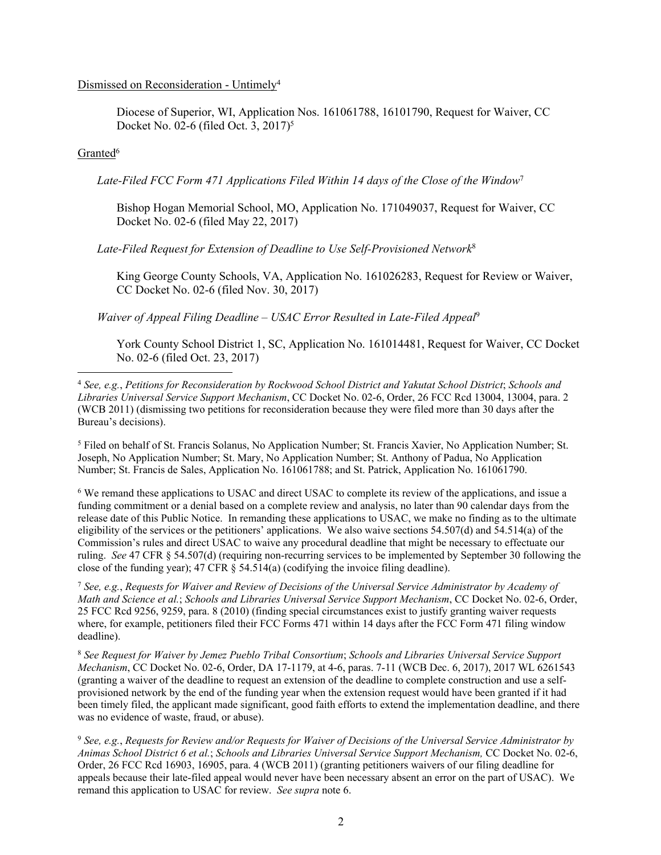## Dismissed on Reconsideration - Untimely<sup>4</sup>

Diocese of Superior, WI, Application Nos. 161061788, 16101790, Request for Waiver, CC Docket No. 02-6 (filed Oct. 3, 2017)<sup>5</sup>

## Granted<sup>6</sup>

*Late-Filed FCC Form 471 Applications Filed Within 14 days of the Close of the Window*<sup>7</sup>

Bishop Hogan Memorial School, MO, Application No. 171049037, Request for Waiver, CC Docket No. 02-6 (filed May 22, 2017)

*Late-Filed Request for Extension of Deadline to Use Self-Provisioned Network*<sup>8</sup>

King George County Schools, VA, Application No. 161026283, Request for Review or Waiver, CC Docket No. 02-6 (filed Nov. 30, 2017)

*Waiver of Appeal Filing Deadline – USAC Error Resulted in Late-Filed Appeal*<sup>9</sup>

York County School District 1, SC, Application No. 161014481, Request for Waiver, CC Docket No. 02-6 (filed Oct. 23, 2017)

5 Filed on behalf of St. Francis Solanus, No Application Number; St. Francis Xavier, No Application Number; St. Joseph, No Application Number; St. Mary, No Application Number; St. Anthony of Padua, No Application Number; St. Francis de Sales, Application No. 161061788; and St. Patrick, Application No. 161061790.

6 We remand these applications to USAC and direct USAC to complete its review of the applications, and issue a funding commitment or a denial based on a complete review and analysis, no later than 90 calendar days from the release date of this Public Notice. In remanding these applications to USAC, we make no finding as to the ultimate eligibility of the services or the petitioners' applications. We also waive sections 54.507(d) and 54.514(a) of the Commission's rules and direct USAC to waive any procedural deadline that might be necessary to effectuate our ruling. *See* 47 CFR § 54.507(d) (requiring non-recurring services to be implemented by September 30 following the close of the funding year); 47 CFR § 54.514(a) (codifying the invoice filing deadline).

<sup>7</sup> *See, e.g.*, *Requests for Waiver and Review of Decisions of the Universal Service Administrator by Academy of Math and Science et al.*; *Schools and Libraries Universal Service Support Mechanism*, CC Docket No. 02-6, Order, 25 FCC Rcd 9256, 9259, para. 8 (2010) (finding special circumstances exist to justify granting waiver requests where, for example, petitioners filed their FCC Forms 471 within 14 days after the FCC Form 471 filing window deadline).

<sup>8</sup> *See Request for Waiver by Jemez Pueblo Tribal Consortium*; *Schools and Libraries Universal Service Support Mechanism*, CC Docket No. 02-6, Order, DA 17-1179, at 4-6, paras. 7-11 (WCB Dec. 6, 2017), 2017 WL 6261543 (granting a waiver of the deadline to request an extension of the deadline to complete construction and use a selfprovisioned network by the end of the funding year when the extension request would have been granted if it had been timely filed, the applicant made significant, good faith efforts to extend the implementation deadline, and there was no evidence of waste, fraud, or abuse).

<sup>9</sup> *See, e.g.*, *Requests for Review and/or Requests for Waiver of Decisions of the Universal Service Administrator by Animas School District 6 et al.*; *Schools and Libraries Universal Service Support Mechanism,* CC Docket No. 02-6, Order, 26 FCC Rcd 16903, 16905, para. 4 (WCB 2011) (granting petitioners waivers of our filing deadline for appeals because their late-filed appeal would never have been necessary absent an error on the part of USAC). We remand this application to USAC for review. *See supra* note 6.

<sup>4</sup> *See, e.g.*, *Petitions for Reconsideration by Rockwood School District and Yakutat School District*; *Schools and Libraries Universal Service Support Mechanism*, CC Docket No. 02-6, Order, 26 FCC Rcd 13004, 13004, para. 2 (WCB 2011) (dismissing two petitions for reconsideration because they were filed more than 30 days after the Bureau's decisions).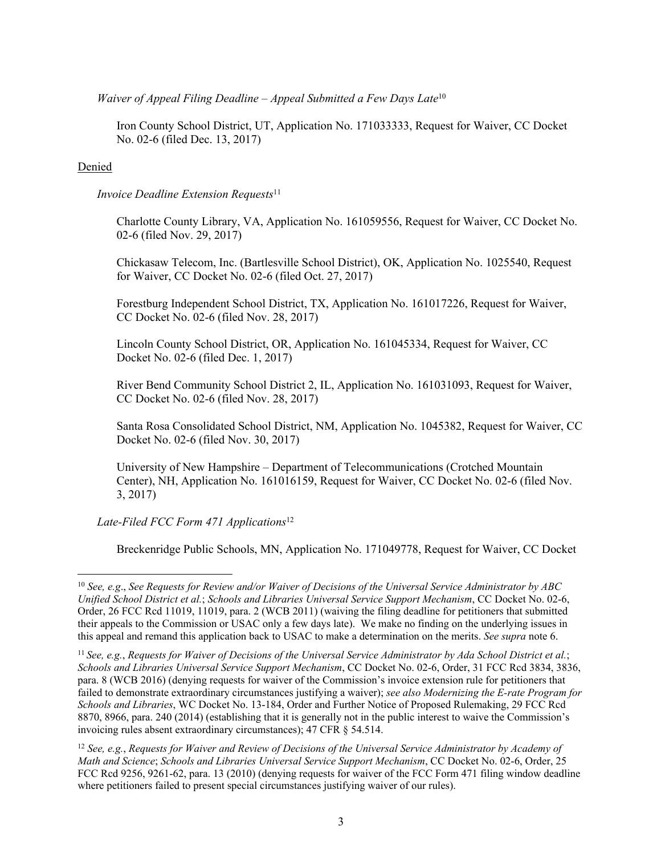*Waiver of Appeal Filing Deadline – Appeal Submitted a Few Days Late*<sup>10</sup>

Iron County School District, UT, Application No. 171033333, Request for Waiver, CC Docket No. 02-6 (filed Dec. 13, 2017)

## Denied

*<i>Invoice Deadline Extension Requests*<sup>11</sup>

Charlotte County Library, VA, Application No. 161059556, Request for Waiver, CC Docket No. 02-6 (filed Nov. 29, 2017)

Chickasaw Telecom, Inc. (Bartlesville School District), OK, Application No. 1025540, Request for Waiver, CC Docket No. 02-6 (filed Oct. 27, 2017)

Forestburg Independent School District, TX, Application No. 161017226, Request for Waiver, CC Docket No. 02-6 (filed Nov. 28, 2017)

Lincoln County School District, OR, Application No. 161045334, Request for Waiver, CC Docket No. 02-6 (filed Dec. 1, 2017)

River Bend Community School District 2, IL, Application No. 161031093, Request for Waiver, CC Docket No. 02-6 (filed Nov. 28, 2017)

Santa Rosa Consolidated School District, NM, Application No. 1045382, Request for Waiver, CC Docket No. 02-6 (filed Nov. 30, 2017)

University of New Hampshire – Department of Telecommunications (Crotched Mountain Center), NH, Application No. 161016159, Request for Waiver, CC Docket No. 02-6 (filed Nov. 3, 2017)

*Late-Filed FCC Form 471 Applications*<sup>12</sup>

Breckenridge Public Schools, MN, Application No. 171049778, Request for Waiver, CC Docket

<sup>10</sup> *See, e.g*., *See Requests for Review and/or Waiver of Decisions of the Universal Service Administrator by ABC Unified School District et al.*; *Schools and Libraries Universal Service Support Mechanism*, CC Docket No. 02-6, Order, 26 FCC Rcd 11019, 11019, para. 2 (WCB 2011) (waiving the filing deadline for petitioners that submitted their appeals to the Commission or USAC only a few days late). We make no finding on the underlying issues in this appeal and remand this application back to USAC to make a determination on the merits. *See supra* note 6.

<sup>11</sup>*See, e.g.*, *Requests for Waiver of Decisions of the Universal Service Administrator by Ada School District et al.*; *Schools and Libraries Universal Service Support Mechanism*, CC Docket No. 02-6, Order, 31 FCC Rcd 3834, 3836, para. 8 (WCB 2016) (denying requests for waiver of the Commission's invoice extension rule for petitioners that failed to demonstrate extraordinary circumstances justifying a waiver); *see also Modernizing the E-rate Program for Schools and Libraries*, WC Docket No. 13-184, Order and Further Notice of Proposed Rulemaking, 29 FCC Rcd 8870, 8966, para. 240 (2014) (establishing that it is generally not in the public interest to waive the Commission's invoicing rules absent extraordinary circumstances); 47 CFR § 54.514.

<sup>12</sup> *See, e.g.*, *Requests for Waiver and Review of Decisions of the Universal Service Administrator by Academy of Math and Science*; *Schools and Libraries Universal Service Support Mechanism*, CC Docket No. 02-6, Order, 25 FCC Rcd 9256, 9261-62, para. 13 (2010) (denying requests for waiver of the FCC Form 471 filing window deadline where petitioners failed to present special circumstances justifying waiver of our rules).